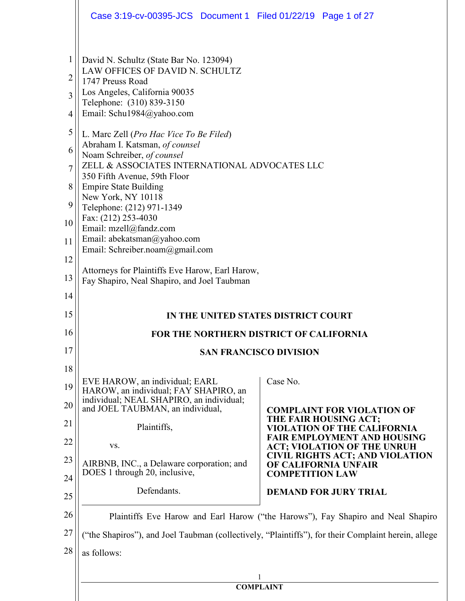|                | Case 3:19-cv-00395-JCS Document 1 Filed 01/22/19 Page 1 of 27                                                         |                                                                                                     |  |
|----------------|-----------------------------------------------------------------------------------------------------------------------|-----------------------------------------------------------------------------------------------------|--|
| 1              | David N. Schultz (State Bar No. 123094)<br>LAW OFFICES OF DAVID N. SCHULTZ                                            |                                                                                                     |  |
| $\overline{2}$ | 1747 Preuss Road                                                                                                      |                                                                                                     |  |
| $\overline{3}$ | Los Angeles, California 90035<br>Telephone: (310) 839-3150                                                            |                                                                                                     |  |
| $\overline{4}$ | Email: Schu1984@yahoo.com                                                                                             |                                                                                                     |  |
| 5              | L. Marc Zell (Pro Hac Vice To Be Filed)<br>Abraham I. Katsman, of counsel                                             |                                                                                                     |  |
| 6              | Noam Schreiber, of counsel                                                                                            |                                                                                                     |  |
| $\overline{7}$ | ZELL & ASSOCIATES INTERNATIONAL ADVOCATES LLC<br>350 Fifth Avenue, 59th Floor                                         |                                                                                                     |  |
| 8              | <b>Empire State Building</b><br>New York, NY 10118                                                                    |                                                                                                     |  |
| 9              | Telephone: (212) 971-1349                                                                                             |                                                                                                     |  |
| 10             | Fax: (212) 253-4030<br>Email: mzell@fandz.com                                                                         |                                                                                                     |  |
| 11             | Email: abekatsman@yahoo.com<br>Email: Schreiber.noam@gmail.com                                                        |                                                                                                     |  |
| 12             | Attorneys for Plaintiffs Eve Harow, Earl Harow,                                                                       |                                                                                                     |  |
| 13             | Fay Shapiro, Neal Shapiro, and Joel Taubman                                                                           |                                                                                                     |  |
| 14             |                                                                                                                       |                                                                                                     |  |
| 15             |                                                                                                                       | IN THE UNITED STATES DISTRICT COURT                                                                 |  |
| 16             |                                                                                                                       | <b>FOR THE NORTHERN DISTRICT OF CALIFORNIA</b>                                                      |  |
| 17             | <b>SAN FRANCISCO DIVISION</b>                                                                                         |                                                                                                     |  |
| 18             | EVE HAROW, an individual; EARL                                                                                        | Case No.                                                                                            |  |
| 19<br>20       | HAROW, an individual; FAY SHAPIRO, an<br>individual; NEAL SHAPIRO, an individual;<br>and JOEL TAUBMAN, an individual, | <b>COMPLAINT FOR VIOLATION OF</b>                                                                   |  |
| 21             | Plaintiffs,                                                                                                           | THE FAIR HOUSING ACT;<br><b>VIOLATION OF THE CALIFORNIA</b>                                         |  |
| 22             | VS.                                                                                                                   | <b>FAIR EMPLOYMENT AND HOUSING</b><br><b>ACT; VIOLATION OF THE UNRUH</b>                            |  |
| 23             | AIRBNB, INC., a Delaware corporation; and                                                                             | <b>CIVIL RIGHTS ACT; AND VIOLATION</b><br>OF CALIFORNIA UNFAIR                                      |  |
| 24             | DOES 1 through 20, inclusive,                                                                                         | <b>COMPETITION LAW</b>                                                                              |  |
| 25             | Defendants.                                                                                                           | <b>DEMAND FOR JURY TRIAL</b>                                                                        |  |
| 26             |                                                                                                                       | Plaintiffs Eve Harow and Earl Harow ("the Harows"), Fay Shapiro and Neal Shapiro                    |  |
| 27             |                                                                                                                       | ("the Shapiros"), and Joel Taubman (collectively, "Plaintiffs"), for their Complaint herein, allege |  |
| 28             | as follows:                                                                                                           |                                                                                                     |  |
|                |                                                                                                                       |                                                                                                     |  |
|                |                                                                                                                       | <b>COMPLAINT</b>                                                                                    |  |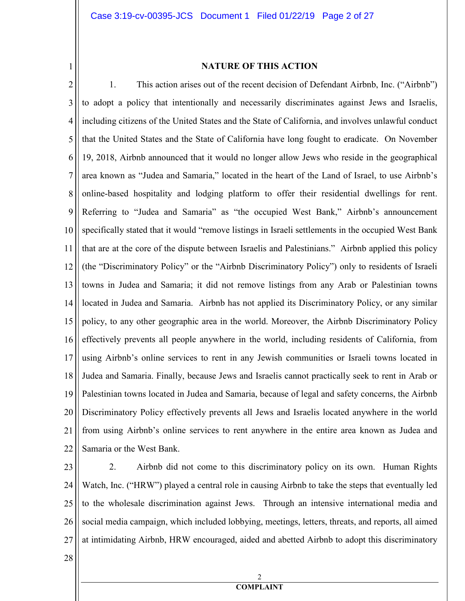1

#### **NATURE OF THIS ACTION**

2 3 4 5 6 7 8 9 10 11 12 13 14 15 16 17 18 19 20 21 22 1. This action arises out of the recent decision of Defendant Airbnb, Inc. ("Airbnb") to adopt a policy that intentionally and necessarily discriminates against Jews and Israelis, including citizens of the United States and the State of California, and involves unlawful conduct that the United States and the State of California have long fought to eradicate. On November 19, 2018, Airbnb announced that it would no longer allow Jews who reside in the geographical area known as "Judea and Samaria," located in the heart of the Land of Israel, to use Airbnb's online-based hospitality and lodging platform to offer their residential dwellings for rent. Referring to "Judea and Samaria" as "the occupied West Bank," Airbnb's announcement specifically stated that it would "remove listings in Israeli settlements in the occupied West Bank that are at the core of the dispute between Israelis and Palestinians." Airbnb applied this policy (the "Discriminatory Policy" or the "Airbnb Discriminatory Policy") only to residents of Israeli towns in Judea and Samaria; it did not remove listings from any Arab or Palestinian towns located in Judea and Samaria. Airbnb has not applied its Discriminatory Policy, or any similar policy, to any other geographic area in the world. Moreover, the Airbnb Discriminatory Policy effectively prevents all people anywhere in the world, including residents of California, from using Airbnb's online services to rent in any Jewish communities or Israeli towns located in Judea and Samaria. Finally, because Jews and Israelis cannot practically seek to rent in Arab or Palestinian towns located in Judea and Samaria, because of legal and safety concerns, the Airbnb Discriminatory Policy effectively prevents all Jews and Israelis located anywhere in the world from using Airbnb's online services to rent anywhere in the entire area known as Judea and Samaria or the West Bank.

23 24 25 26 27 2. Airbnb did not come to this discriminatory policy on its own. Human Rights Watch, Inc. ("HRW") played a central role in causing Airbnb to take the steps that eventually led to the wholesale discrimination against Jews. Through an intensive international media and social media campaign, which included lobbying, meetings, letters, threats, and reports, all aimed at intimidating Airbnb, HRW encouraged, aided and abetted Airbnb to adopt this discriminatory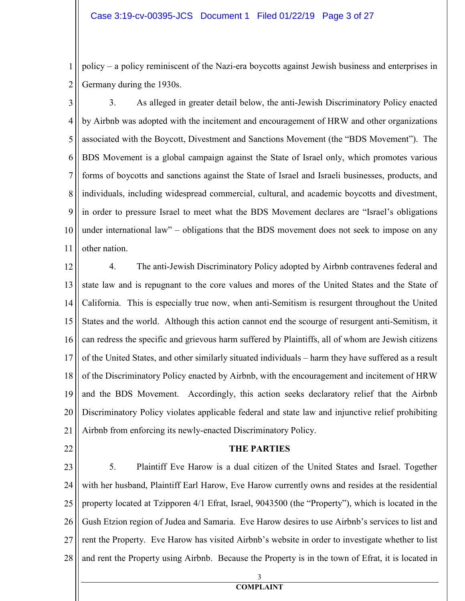1 2 policy – a policy reminiscent of the Nazi-era boycotts against Jewish business and enterprises in Germany during the 1930s.

3 4 5 6 7 8 9 10 11 3. As alleged in greater detail below, the anti-Jewish Discriminatory Policy enacted by Airbnb was adopted with the incitement and encouragement of HRW and other organizations associated with the Boycott, Divestment and Sanctions Movement (the "BDS Movement"). The BDS Movement is a global campaign against the State of Israel only, which promotes various forms of boycotts and sanctions against the State of Israel and Israeli businesses, products, and individuals, including widespread commercial, cultural, and academic boycotts and divestment, in order to pressure Israel to meet what the BDS Movement declares are "Israel's obligations under international law" – obligations that the BDS movement does not seek to impose on any other nation.

12 13 14 15 16 17 18 19 20 21 4. The anti-Jewish Discriminatory Policy adopted by Airbnb contravenes federal and state law and is repugnant to the core values and mores of the United States and the State of California. This is especially true now, when anti-Semitism is resurgent throughout the United States and the world. Although this action cannot end the scourge of resurgent anti-Semitism, it can redress the specific and grievous harm suffered by Plaintiffs, all of whom are Jewish citizens of the United States, and other similarly situated individuals – harm they have suffered as a result of the Discriminatory Policy enacted by Airbnb, with the encouragement and incitement of HRW and the BDS Movement. Accordingly, this action seeks declaratory relief that the Airbnb Discriminatory Policy violates applicable federal and state law and injunctive relief prohibiting Airbnb from enforcing its newly-enacted Discriminatory Policy.

22

## **THE PARTIES**

23 24 25 26 27 28 5. Plaintiff Eve Harow is a dual citizen of the United States and Israel. Together with her husband, Plaintiff Earl Harow, Eve Harow currently owns and resides at the residential property located at Tzipporen 4/1 Efrat, Israel, 9043500 (the "Property"), which is located in the Gush Etzion region of Judea and Samaria. Eve Harow desires to use Airbnb's services to list and rent the Property. Eve Harow has visited Airbnb's website in order to investigate whether to list and rent the Property using Airbnb. Because the Property is in the town of Efrat, it is located in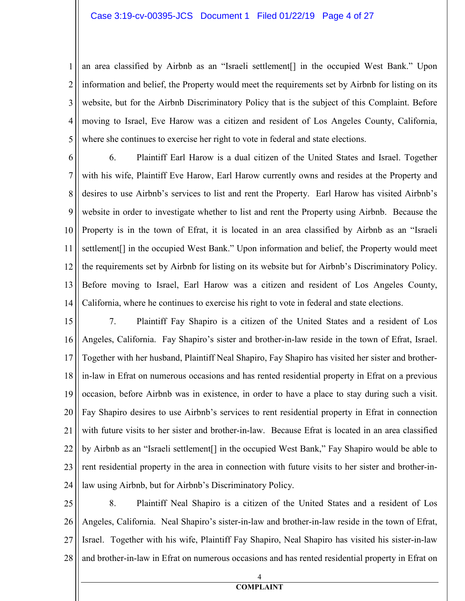1 2 3 4 5 an area classified by Airbnb as an "Israeli settlement[] in the occupied West Bank." Upon information and belief, the Property would meet the requirements set by Airbnb for listing on its website, but for the Airbnb Discriminatory Policy that is the subject of this Complaint. Before moving to Israel, Eve Harow was a citizen and resident of Los Angeles County, California, where she continues to exercise her right to vote in federal and state elections.

6 7 8 9 10 11 12 13 14 6. Plaintiff Earl Harow is a dual citizen of the United States and Israel. Together with his wife, Plaintiff Eve Harow, Earl Harow currently owns and resides at the Property and desires to use Airbnb's services to list and rent the Property. Earl Harow has visited Airbnb's website in order to investigate whether to list and rent the Property using Airbnb. Because the Property is in the town of Efrat, it is located in an area classified by Airbnb as an "Israeli settlement[] in the occupied West Bank." Upon information and belief, the Property would meet the requirements set by Airbnb for listing on its website but for Airbnb's Discriminatory Policy. Before moving to Israel, Earl Harow was a citizen and resident of Los Angeles County, California, where he continues to exercise his right to vote in federal and state elections.

15 16 17 18 19 20 21 22 23 24 7. Plaintiff Fay Shapiro is a citizen of the United States and a resident of Los Angeles, California. Fay Shapiro's sister and brother-in-law reside in the town of Efrat, Israel. Together with her husband, Plaintiff Neal Shapiro, Fay Shapiro has visited her sister and brotherin-law in Efrat on numerous occasions and has rented residential property in Efrat on a previous occasion, before Airbnb was in existence, in order to have a place to stay during such a visit. Fay Shapiro desires to use Airbnb's services to rent residential property in Efrat in connection with future visits to her sister and brother-in-law. Because Efrat is located in an area classified by Airbnb as an "Israeli settlement[] in the occupied West Bank," Fay Shapiro would be able to rent residential property in the area in connection with future visits to her sister and brother-inlaw using Airbnb, but for Airbnb's Discriminatory Policy.

25 26 27 28 8. Plaintiff Neal Shapiro is a citizen of the United States and a resident of Los Angeles, California. Neal Shapiro's sister-in-law and brother-in-law reside in the town of Efrat, Israel. Together with his wife, Plaintiff Fay Shapiro, Neal Shapiro has visited his sister-in-law and brother-in-law in Efrat on numerous occasions and has rented residential property in Efrat on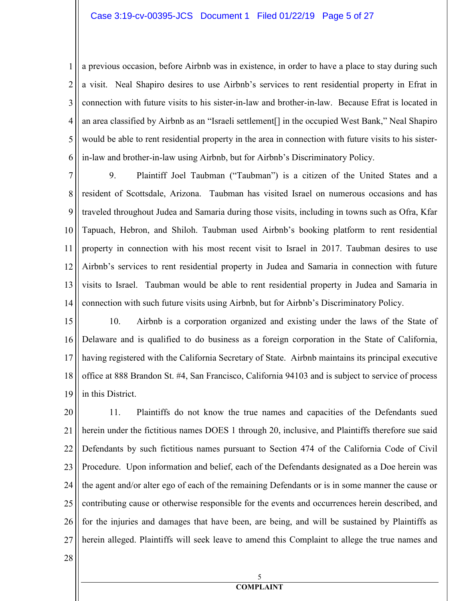#### Case 3:19-cv-00395-JCS Document 1 Filed 01/22/19 Page 5 of 27

1 2 3 4 5 6 a previous occasion, before Airbnb was in existence, in order to have a place to stay during such a visit. Neal Shapiro desires to use Airbnb's services to rent residential property in Efrat in connection with future visits to his sister-in-law and brother-in-law. Because Efrat is located in an area classified by Airbnb as an "Israeli settlement[] in the occupied West Bank," Neal Shapiro would be able to rent residential property in the area in connection with future visits to his sisterin-law and brother-in-law using Airbnb, but for Airbnb's Discriminatory Policy.

7 8 9 10 11 12 13 14 9. Plaintiff Joel Taubman ("Taubman") is a citizen of the United States and a resident of Scottsdale, Arizona. Taubman has visited Israel on numerous occasions and has traveled throughout Judea and Samaria during those visits, including in towns such as Ofra, Kfar Tapuach, Hebron, and Shiloh. Taubman used Airbnb's booking platform to rent residential property in connection with his most recent visit to Israel in 2017. Taubman desires to use Airbnb's services to rent residential property in Judea and Samaria in connection with future visits to Israel. Taubman would be able to rent residential property in Judea and Samaria in connection with such future visits using Airbnb, but for Airbnb's Discriminatory Policy.

15 16 17 18 19 10. Airbnb is a corporation organized and existing under the laws of the State of Delaware and is qualified to do business as a foreign corporation in the State of California, having registered with the California Secretary of State. Airbnb maintains its principal executive office at 888 Brandon St. #4, San Francisco, California 94103 and is subject to service of process in this District.

20 21 22 23 24 25 26 27 11. Plaintiffs do not know the true names and capacities of the Defendants sued herein under the fictitious names DOES 1 through 20, inclusive, and Plaintiffs therefore sue said Defendants by such fictitious names pursuant to Section 474 of the California Code of Civil Procedure. Upon information and belief, each of the Defendants designated as a Doe herein was the agent and/or alter ego of each of the remaining Defendants or is in some manner the cause or contributing cause or otherwise responsible for the events and occurrences herein described, and for the injuries and damages that have been, are being, and will be sustained by Plaintiffs as herein alleged. Plaintiffs will seek leave to amend this Complaint to allege the true names and

28

#### 5 **COMPLAIT**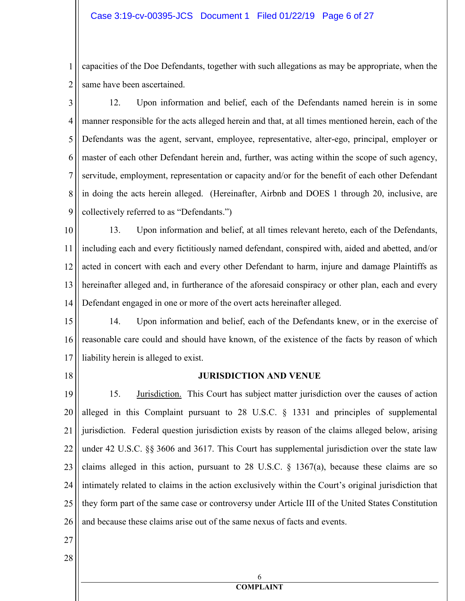1 2 capacities of the Doe Defendants, together with such allegations as may be appropriate, when the same have been ascertained.

3 4 5 6 7 8 9 12. Upon information and belief, each of the Defendants named herein is in some manner responsible for the acts alleged herein and that, at all times mentioned herein, each of the Defendants was the agent, servant, employee, representative, alter-ego, principal, employer or master of each other Defendant herein and, further, was acting within the scope of such agency, servitude, employment, representation or capacity and/or for the benefit of each other Defendant in doing the acts herein alleged. (Hereinafter, Airbnb and DOES 1 through 20, inclusive, are collectively referred to as "Defendants.")

10 11 12 13 14 13. Upon information and belief, at all times relevant hereto, each of the Defendants, including each and every fictitiously named defendant, conspired with, aided and abetted, and/or acted in concert with each and every other Defendant to harm, injure and damage Plaintiffs as hereinafter alleged and, in furtherance of the aforesaid conspiracy or other plan, each and every Defendant engaged in one or more of the overt acts hereinafter alleged.

15 16 17 14. Upon information and belief, each of the Defendants knew, or in the exercise of reasonable care could and should have known, of the existence of the facts by reason of which liability herein is alleged to exist.

18

## **JURISDICTION AND VENUE**

19 20 21 22 23 24 25 26 15. Jurisdiction. This Court has subject matter jurisdiction over the causes of action alleged in this Complaint pursuant to 28 U.S.C. § 1331 and principles of supplemental jurisdiction. Federal question jurisdiction exists by reason of the claims alleged below, arising under 42 U.S.C. §§ 3606 and 3617. This Court has supplemental jurisdiction over the state law claims alleged in this action, pursuant to 28 U.S.C.  $\S$  1367(a), because these claims are so intimately related to claims in the action exclusively within the Court's original jurisdiction that they form part of the same case or controversy under Article III of the United States Constitution and because these claims arise out of the same nexus of facts and events.

27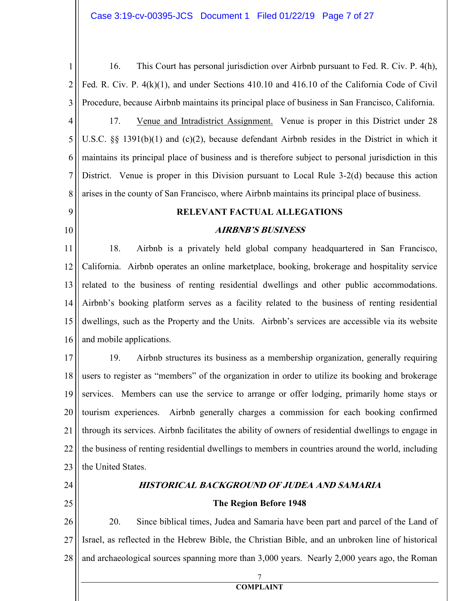1 2 3 4 5 16. This Court has personal jurisdiction over Airbnb pursuant to Fed. R. Civ. P. 4(h), Fed. R. Civ. P. 4(k)(1), and under Sections 410.10 and 416.10 of the California Code of Civil Procedure, because Airbnb maintains its principal place of business in San Francisco, California. 17. Venue and Intradistrict Assignment. Venue is proper in this District under 28 U.S.C. §§ 1391(b)(1) and (c)(2), because defendant Airbnb resides in the District in which it

6 7 8 maintains its principal place of business and is therefore subject to personal jurisdiction in this District. Venue is proper in this Division pursuant to Local Rule 3-2(d) because this action arises in the county of San Francisco, where Airbnb maintains its principal place of business.

**RELEVAT FACTUAL ALLEGATIOS** 

## **AIRBNB'S BUSINESS**

11 12 13 14 15 16 18. Airbnb is a privately held global company headquartered in San Francisco, California. Airbnb operates an online marketplace, booking, brokerage and hospitality service related to the business of renting residential dwellings and other public accommodations. Airbnb's booking platform serves as a facility related to the business of renting residential dwellings, such as the Property and the Units. Airbnb's services are accessible via its website and mobile applications.

17 18 19 20 21 22 23 19. Airbnb structures its business as a membership organization, generally requiring users to register as "members" of the organization in order to utilize its booking and brokerage services. Members can use the service to arrange or offer lodging, primarily home stays or tourism experiences. Airbnb generally charges a commission for each booking confirmed through its services. Airbnb facilitates the ability of owners of residential dwellings to engage in the business of renting residential dwellings to members in countries around the world, including the United States.

24

25

9

10

# **HISTORICAL BACKGROUND OF JUDEA AND SAMARIA**

## **The Region Before 1948**

26 27 28 20. Since biblical times, Judea and Samaria have been part and parcel of the Land of Israel, as reflected in the Hebrew Bible, the Christian Bible, and an unbroken line of historical and archaeological sources spanning more than 3,000 years. Nearly 2,000 years ago, the Roman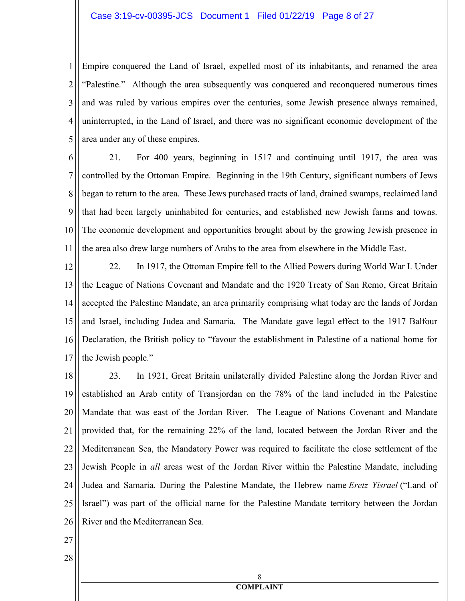1 2 3 4 5 Empire conquered the Land of Israel, expelled most of its inhabitants, and renamed the area "Palestine." Although the area subsequently was conquered and reconquered numerous times and was ruled by various empires over the centuries, some Jewish presence always remained, uninterrupted, in the Land of Israel, and there was no significant economic development of the area under any of these empires.

6 7 8 9 10 11 21. For 400 years, beginning in 1517 and continuing until 1917, the area was controlled by the Ottoman Empire. Beginning in the 19th Century, significant numbers of Jews began to return to the area. These Jews purchased tracts of land, drained swamps, reclaimed land that had been largely uninhabited for centuries, and established new Jewish farms and towns. The economic development and opportunities brought about by the growing Jewish presence in the area also drew large numbers of Arabs to the area from elsewhere in the Middle East.

12 13 14 15 16 17 22. In 1917, the Ottoman Empire fell to the Allied Powers during World War I. Under the League of Nations Covenant and Mandate and the 1920 Treaty of San Remo, Great Britain accepted the Palestine Mandate, an area primarily comprising what today are the lands of Jordan and Israel, including Judea and Samaria. The Mandate gave legal effect to the 1917 Balfour Declaration, the British policy to "favour the establishment in Palestine of a national home for the Jewish people."

18 19 20 21 22 23 24 25 26 23. In 1921, Great Britain unilaterally divided Palestine along the Jordan River and established an Arab entity of Transjordan on the 78% of the land included in the Palestine Mandate that was east of the Jordan River. The League of Nations Covenant and Mandate provided that, for the remaining 22% of the land, located between the Jordan River and the Mediterranean Sea, the Mandatory Power was required to facilitate the close settlement of the Jewish People in *all* areas west of the Jordan River within the Palestine Mandate, including Judea and Samaria. During the Palestine Mandate, the Hebrew name *Eretz Yisrael* ("Land of Israel") was part of the official name for the Palestine Mandate territory between the Jordan River and the Mediterranean Sea.

27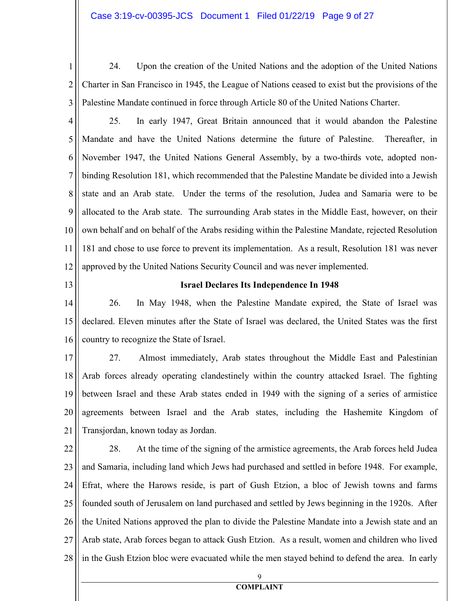1 2 3 24. Upon the creation of the United Nations and the adoption of the United Nations Charter in San Francisco in 1945, the League of Nations ceased to exist but the provisions of the Palestine Mandate continued in force through Article 80 of the United Nations Charter.

4 5 6 7 8 9 10 11 12 25. In early 1947, Great Britain announced that it would abandon the Palestine Mandate and have the United Nations determine the future of Palestine. Thereafter, in November 1947, the United Nations General Assembly, by a two-thirds vote, adopted nonbinding Resolution 181, which recommended that the Palestine Mandate be divided into a Jewish state and an Arab state. Under the terms of the resolution, Judea and Samaria were to be allocated to the Arab state. The surrounding Arab states in the Middle East, however, on their own behalf and on behalf of the Arabs residing within the Palestine Mandate, rejected Resolution 181 and chose to use force to prevent its implementation. As a result, Resolution 181 was never approved by the United Nations Security Council and was never implemented.

13

## **Israel Declares Its Independence In 1948**

14 15 16 26. In May 1948, when the Palestine Mandate expired, the State of Israel was declared. Eleven minutes after the State of Israel was declared, the United States was the first country to recognize the State of Israel.

17 18 19 20 21 27. Almost immediately, Arab states throughout the Middle East and Palestinian Arab forces already operating clandestinely within the country attacked Israel. The fighting between Israel and these Arab states ended in 1949 with the signing of a series of armistice agreements between Israel and the Arab states, including the Hashemite Kingdom of Transjordan, known today as Jordan.

22 23 24 25 26 27 28 28. At the time of the signing of the armistice agreements, the Arab forces held Judea and Samaria, including land which Jews had purchased and settled in before 1948. For example, Efrat, where the Harows reside, is part of Gush Etzion, a bloc of Jewish towns and farms founded south of Jerusalem on land purchased and settled by Jews beginning in the 1920s. After the United Nations approved the plan to divide the Palestine Mandate into a Jewish state and an Arab state, Arab forces began to attack Gush Etzion. As a result, women and children who lived in the Gush Etzion bloc were evacuated while the men stayed behind to defend the area. In early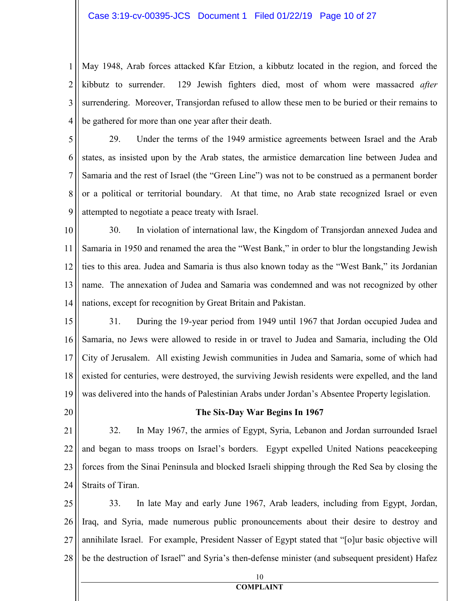#### Case 3:19-cv-00395-JCS Document 1 Filed 01/22/19 Page 10 of 27

1 2 3 4 May 1948, Arab forces attacked Kfar Etzion, a kibbutz located in the region, and forced the kibbutz to surrender. 129 Jewish fighters died, most of whom were massacred *after* surrendering. Moreover, Transjordan refused to allow these men to be buried or their remains to be gathered for more than one year after their death.

5 6 7 8 9 29. Under the terms of the 1949 armistice agreements between Israel and the Arab states, as insisted upon by the Arab states, the armistice demarcation line between Judea and Samaria and the rest of Israel (the "Green Line") was not to be construed as a permanent border or a political or territorial boundary. At that time, no Arab state recognized Israel or even attempted to negotiate a peace treaty with Israel.

10 11 12 13 14 30. In violation of international law, the Kingdom of Transjordan annexed Judea and Samaria in 1950 and renamed the area the "West Bank," in order to blur the longstanding Jewish ties to this area. Judea and Samaria is thus also known today as the "West Bank," its Jordanian name. The annexation of Judea and Samaria was condemned and was not recognized by other nations, except for recognition by Great Britain and Pakistan.

15 16 17 18 19 31. During the 19-year period from 1949 until 1967 that Jordan occupied Judea and Samaria, no Jews were allowed to reside in or travel to Judea and Samaria, including the Old City of Jerusalem. All existing Jewish communities in Judea and Samaria, some of which had existed for centuries, were destroyed, the surviving Jewish residents were expelled, and the land was delivered into the hands of Palestinian Arabs under Jordan's Absentee Property legislation.

20

#### **The Six-Day War Begins In 1967**

21 22 23 24 32. In May 1967, the armies of Egypt, Syria, Lebanon and Jordan surrounded Israel and began to mass troops on Israel's borders. Egypt expelled United Nations peacekeeping forces from the Sinai Peninsula and blocked Israeli shipping through the Red Sea by closing the Straits of Tiran.

25 26 27 28 33. In late May and early June 1967, Arab leaders, including from Egypt, Jordan, Iraq, and Syria, made numerous public pronouncements about their desire to destroy and annihilate Israel. For example, President Nasser of Egypt stated that "[o]ur basic objective will be the destruction of Israel" and Syria's then-defense minister (and subsequent president) Hafez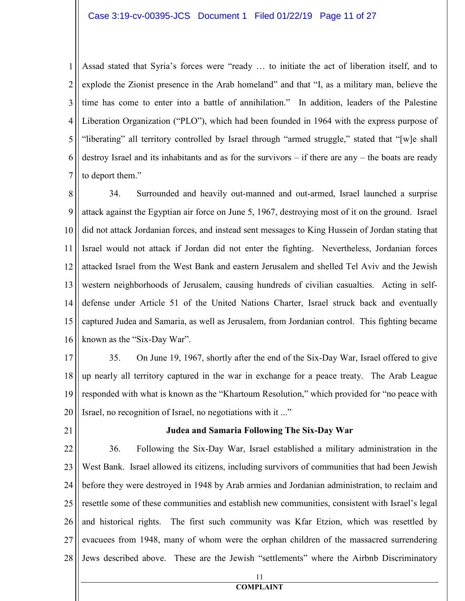## Case 3:19-cv-00395-JCS Document 1 Filed 01/22/19 Page 11 of 27

1 2 3 4 5 6 7 Assad stated that Syria's forces were "ready … to initiate the act of liberation itself, and to explode the Zionist presence in the Arab homeland" and that "I, as a military man, believe the time has come to enter into a battle of annihilation." In addition, leaders of the Palestine Liberation Organization ("PLO"), which had been founded in 1964 with the express purpose of "liberating" all territory controlled by Israel through "armed struggle," stated that "[w]e shall destroy Israel and its inhabitants and as for the survivors – if there are any – the boats are ready to deport them."

8 9 10 11 12 13 14 15 16 34. Surrounded and heavily out-manned and out-armed, Israel launched a surprise attack against the Egyptian air force on June 5, 1967, destroying most of it on the ground. Israel did not attack Jordanian forces, and instead sent messages to King Hussein of Jordan stating that Israel would not attack if Jordan did not enter the fighting. Nevertheless, Jordanian forces attacked Israel from the West Bank and eastern Jerusalem and shelled Tel Aviv and the Jewish western neighborhoods of Jerusalem, causing hundreds of civilian casualties. Acting in selfdefense under Article 51 of the United Nations Charter, Israel struck back and eventually captured Judea and Samaria, as well as Jerusalem, from Jordanian control. This fighting became known as the "Six-Day War".

- 17 18 19 20 35. On June 19, 1967, shortly after the end of the Six-Day War, Israel offered to give up nearly all territory captured in the war in exchange for a peace treaty. The Arab League responded with what is known as the "Khartoum Resolution," which provided for "no peace with Israel, no recognition of Israel, no negotiations with it ..."
- 21

#### **Judea and Samaria Following The Six-Day War**

22 23 24 25 26 27 28 36. Following the Six-Day War, Israel established a military administration in the West Bank. Israel allowed its citizens, including survivors of communities that had been Jewish before they were destroyed in 1948 by Arab armies and Jordanian administration, to reclaim and resettle some of these communities and establish new communities, consistent with Israel's legal and historical rights. The first such community was Kfar Etzion, which was resettled by evacuees from 1948, many of whom were the orphan children of the massacred surrendering Jews described above. These are the Jewish "settlements" where the Airbnb Discriminatory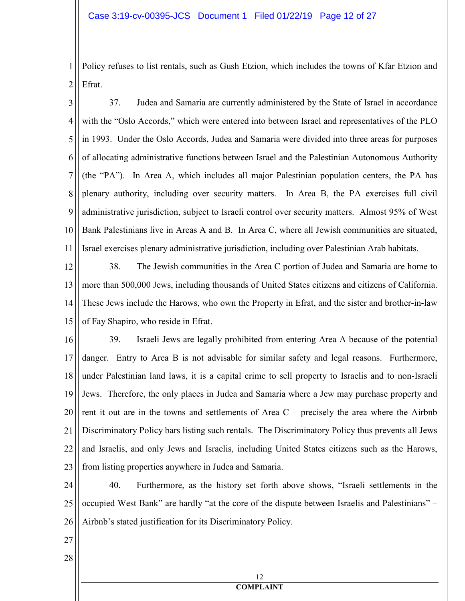1 2 Policy refuses to list rentals, such as Gush Etzion, which includes the towns of Kfar Etzion and Efrat.

3 4 5 6 7 8 9 10 11 37. Judea and Samaria are currently administered by the State of Israel in accordance with the "Oslo Accords," which were entered into between Israel and representatives of the PLO in 1993. Under the Oslo Accords, Judea and Samaria were divided into three areas for purposes of allocating administrative functions between Israel and the Palestinian Autonomous Authority (the "PA"). In Area A, which includes all major Palestinian population centers, the PA has plenary authority, including over security matters. In Area B, the PA exercises full civil administrative jurisdiction, subject to Israeli control over security matters. Almost 95% of West Bank Palestinians live in Areas A and B. In Area C, where all Jewish communities are situated, Israel exercises plenary administrative jurisdiction, including over Palestinian Arab habitats.

12 13 14 15 38. The Jewish communities in the Area C portion of Judea and Samaria are home to more than 500,000 Jews, including thousands of United States citizens and citizens of California. These Jews include the Harows, who own the Property in Efrat, and the sister and brother-in-law of Fay Shapiro, who reside in Efrat.

16 17 18 19 20 21 22 23 39. Israeli Jews are legally prohibited from entering Area A because of the potential danger. Entry to Area B is not advisable for similar safety and legal reasons. Furthermore, under Palestinian land laws, it is a capital crime to sell property to Israelis and to non-Israeli Jews. Therefore, the only places in Judea and Samaria where a Jew may purchase property and rent it out are in the towns and settlements of Area C – precisely the area where the Airbnb Discriminatory Policy bars listing such rentals. The Discriminatory Policy thus prevents all Jews and Israelis, and only Jews and Israelis, including United States citizens such as the Harows, from listing properties anywhere in Judea and Samaria.

24 25 26 40. Furthermore, as the history set forth above shows, "Israeli settlements in the occupied West Bank" are hardly "at the core of the dispute between Israelis and Palestinians" – Airbnb's stated justification for its Discriminatory Policy.

27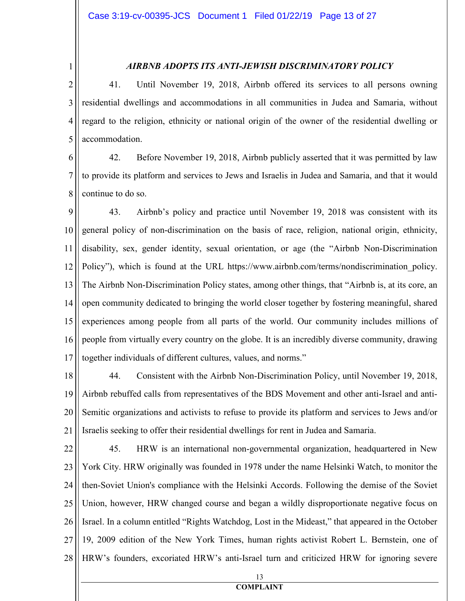1

# *AIRBB ADOPTS ITS ATI-JEWISH DISCRIMIATORY POLICY*

2 3 4 5 41. Until November 19, 2018, Airbnb offered its services to all persons owning residential dwellings and accommodations in all communities in Judea and Samaria, without regard to the religion, ethnicity or national origin of the owner of the residential dwelling or accommodation.

6 7 8 42. Before November 19, 2018, Airbnb publicly asserted that it was permitted by law to provide its platform and services to Jews and Israelis in Judea and Samaria, and that it would continue to do so.

9 10 11 12 13 14 15 16 17 43. Airbnb's policy and practice until November 19, 2018 was consistent with its general policy of non-discrimination on the basis of race, religion, national origin, ethnicity, disability, sex, gender identity, sexual orientation, or age (the "Airbnb Non-Discrimination Policy"), which is found at the URL https://www.airbnb.com/terms/nondiscrimination policy. The Airbnb Non-Discrimination Policy states, among other things, that "Airbnb is, at its core, an open community dedicated to bringing the world closer together by fostering meaningful, shared experiences among people from all parts of the world. Our community includes millions of people from virtually every country on the globe. It is an incredibly diverse community, drawing together individuals of different cultures, values, and norms."

18 19 20 21 44. Consistent with the Airbnb Non-Discrimination Policy, until November 19, 2018, Airbnb rebuffed calls from representatives of the BDS Movement and other anti-Israel and anti-Semitic organizations and activists to refuse to provide its platform and services to Jews and/or Israelis seeking to offer their residential dwellings for rent in Judea and Samaria.

22 23 24 25 26 27 28 45. HRW is an international non-governmental organization, headquartered in New York City. HRW originally was founded in 1978 under the name Helsinki Watch, to monitor the then-Soviet Union's compliance with the Helsinki Accords. Following the demise of the Soviet Union, however, HRW changed course and began a wildly disproportionate negative focus on Israel. In a column entitled "Rights Watchdog, Lost in the Mideast," that appeared in the October 19, 2009 edition of the New York Times, human rights activist Robert L. Bernstein, one of HRW's founders, excoriated HRW's anti-Israel turn and criticized HRW for ignoring severe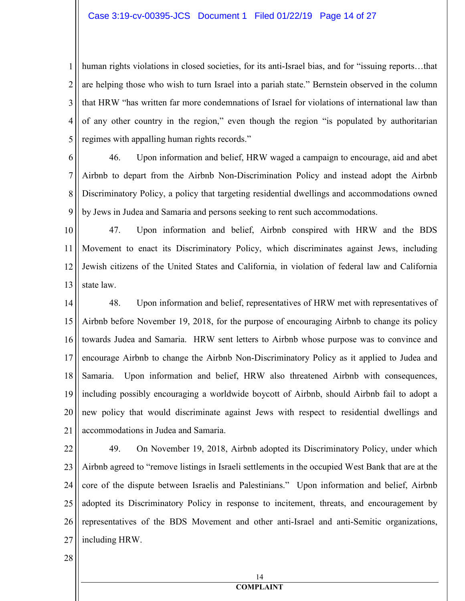#### Case 3:19-cv-00395-JCS Document 1 Filed 01/22/19 Page 14 of 27

1 2 3 4 5 human rights violations in closed societies, for its anti-Israel bias, and for "issuing reports...that are helping those who wish to turn Israel into a pariah state." Bernstein observed in the column that HRW "has written far more condemnations of Israel for violations of international law than of any other country in the region," even though the region "is populated by authoritarian regimes with appalling human rights records."

6 7 8 9 46. Upon information and belief, HRW waged a campaign to encourage, aid and abet Airbnb to depart from the Airbnb Non-Discrimination Policy and instead adopt the Airbnb Discriminatory Policy, a policy that targeting residential dwellings and accommodations owned by Jews in Judea and Samaria and persons seeking to rent such accommodations.

10 11 12 13 47. Upon information and belief, Airbnb conspired with HRW and the BDS Movement to enact its Discriminatory Policy, which discriminates against Jews, including Jewish citizens of the United States and California, in violation of federal law and California state law.

14 15 16 17 18 19 20 21 48. Upon information and belief, representatives of HRW met with representatives of Airbnb before November 19, 2018, for the purpose of encouraging Airbnb to change its policy towards Judea and Samaria. HRW sent letters to Airbnb whose purpose was to convince and encourage Airbnb to change the Airbnb Non-Discriminatory Policy as it applied to Judea and Samaria. Upon information and belief, HRW also threatened Airbnb with consequences, including possibly encouraging a worldwide boycott of Airbnb, should Airbnb fail to adopt a new policy that would discriminate against Jews with respect to residential dwellings and accommodations in Judea and Samaria.

22 23 24 25 26 27 49. On November 19, 2018, Airbnb adopted its Discriminatory Policy, under which Airbnb agreed to "remove listings in Israeli settlements in the occupied West Bank that are at the core of the dispute between Israelis and Palestinians." Upon information and belief, Airbnb adopted its Discriminatory Policy in response to incitement, threats, and encouragement by representatives of the BDS Movement and other anti-Israel and anti-Semitic organizations, including HRW.

28

#### 14 **COMPLAIT**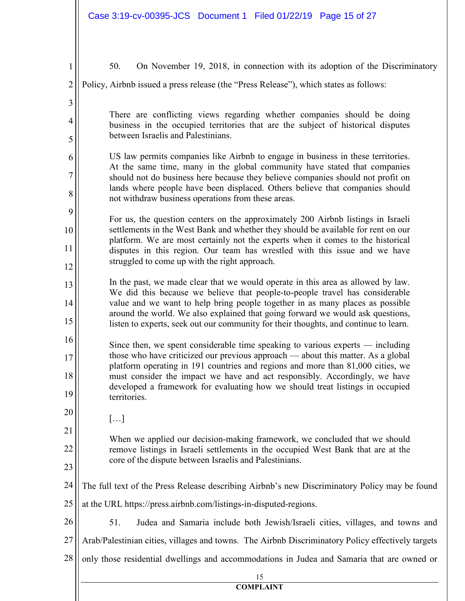|                                          | Case 3:19-cv-00395-JCS Document 1 Filed 01/22/19 Page 15 of 27                                                                                                                                                                                                                                                                                                                                                                       |
|------------------------------------------|--------------------------------------------------------------------------------------------------------------------------------------------------------------------------------------------------------------------------------------------------------------------------------------------------------------------------------------------------------------------------------------------------------------------------------------|
| $\mathbf{1}$<br>$\overline{2}$<br>3<br>4 | 50.<br>On November 19, 2018, in connection with its adoption of the Discriminatory<br>Policy, Airbnb issued a press release (the "Press Release"), which states as follows:<br>There are conflicting views regarding whether companies should be doing<br>business in the occupied territories that are the subject of historical disputes<br>between Israelis and Palestinians.                                                     |
| 5<br>6<br>7<br>8<br>9                    | US law permits companies like Airbnb to engage in business in these territories.<br>At the same time, many in the global community have stated that companies<br>should not do business here because they believe companies should not profit on<br>lands where people have been displaced. Others believe that companies should<br>not withdraw business operations from these areas.                                               |
| 10<br>11<br>12                           | For us, the question centers on the approximately 200 Airbnb listings in Israeli<br>settlements in the West Bank and whether they should be available for rent on our<br>platform. We are most certainly not the experts when it comes to the historical<br>disputes in this region. Our team has wrestled with this issue and we have<br>struggled to come up with the right approach.                                              |
| 13<br>14<br>15<br>16                     | In the past, we made clear that we would operate in this area as allowed by law.<br>We did this because we believe that people-to-people travel has considerable<br>value and we want to help bring people together in as many places as possible<br>around the world. We also explained that going forward we would ask questions,<br>listen to experts, seek out our community for their thoughts, and continue to learn.          |
| 17<br>18<br>19                           | Since then, we spent considerable time speaking to various experts — including<br>those who have criticized our previous approach - about this matter. As a global<br>platform operating in 191 countries and regions and more than 81,000 cities, we<br>must consider the impact we have and act responsibly. Accordingly, we have<br>developed a framework for evaluating how we should treat listings in occupied<br>territories. |
| 20<br>21<br>22                           | []<br>When we applied our decision-making framework, we concluded that we should<br>remove listings in Israeli settlements in the occupied West Bank that are at the<br>core of the dispute between Israelis and Palestinians.                                                                                                                                                                                                       |
| 23<br>24                                 | The full text of the Press Release describing Airbnb's new Discriminatory Policy may be found                                                                                                                                                                                                                                                                                                                                        |
| 25<br>26                                 | at the URL https://press.airbnb.com/listings-in-disputed-regions.<br>51.<br>Judea and Samaria include both Jewish/Israeli cities, villages, and towns and                                                                                                                                                                                                                                                                            |
| 27                                       | Arab/Palestinian cities, villages and towns. The Airbnb Discriminatory Policy effectively targets                                                                                                                                                                                                                                                                                                                                    |
| 28                                       | only those residential dwellings and accommodations in Judea and Samaria that are owned or                                                                                                                                                                                                                                                                                                                                           |
|                                          | 15<br><b>COMPLAINT</b>                                                                                                                                                                                                                                                                                                                                                                                                               |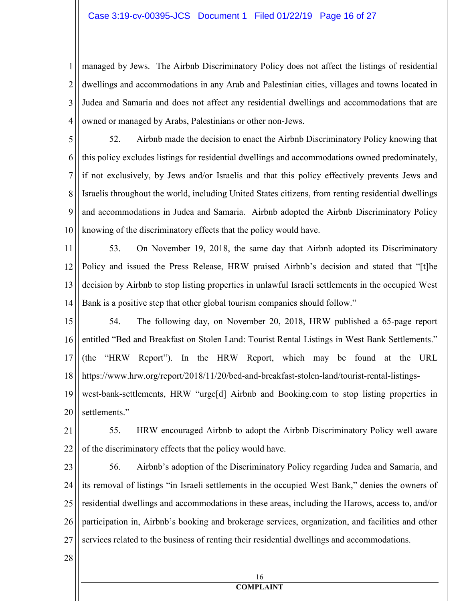## Case 3:19-cv-00395-JCS Document 1 Filed 01/22/19 Page 16 of 27

1 2 3 4 managed by Jews. The Airbnb Discriminatory Policy does not affect the listings of residential dwellings and accommodations in any Arab and Palestinian cities, villages and towns located in Judea and Samaria and does not affect any residential dwellings and accommodations that are owned or managed by Arabs, Palestinians or other non-Jews.

5 6 7 8 9 10 52. Airbnb made the decision to enact the Airbnb Discriminatory Policy knowing that this policy excludes listings for residential dwellings and accommodations owned predominately, if not exclusively, by Jews and/or Israelis and that this policy effectively prevents Jews and Israelis throughout the world, including United States citizens, from renting residential dwellings and accommodations in Judea and Samaria. Airbnb adopted the Airbnb Discriminatory Policy knowing of the discriminatory effects that the policy would have.

11 12 13 14 53. On November 19, 2018, the same day that Airbnb adopted its Discriminatory Policy and issued the Press Release, HRW praised Airbnb's decision and stated that "[t]he decision by Airbnb to stop listing properties in unlawful Israeli settlements in the occupied West Bank is a positive step that other global tourism companies should follow."

15 16 17 18 54. The following day, on November 20, 2018, HRW published a 65-page report entitled "Bed and Breakfast on Stolen Land: Tourist Rental Listings in West Bank Settlements." (the "HRW Report"). In the HRW Report, which may be found at the URL https://www.hrw.org/report/2018/11/20/bed-and-breakfast-stolen-land/tourist-rental-listings-

19 20 west-bank-settlements, HRW "urge[d] Airbnb and Booking.com to stop listing properties in settlements."

21 22 55. HRW encouraged Airbnb to adopt the Airbnb Discriminatory Policy well aware of the discriminatory effects that the policy would have.

23 24 25 26 27 56. Airbnb's adoption of the Discriminatory Policy regarding Judea and Samaria, and its removal of listings "in Israeli settlements in the occupied West Bank," denies the owners of residential dwellings and accommodations in these areas, including the Harows, access to, and/or participation in, Airbnb's booking and brokerage services, organization, and facilities and other services related to the business of renting their residential dwellings and accommodations.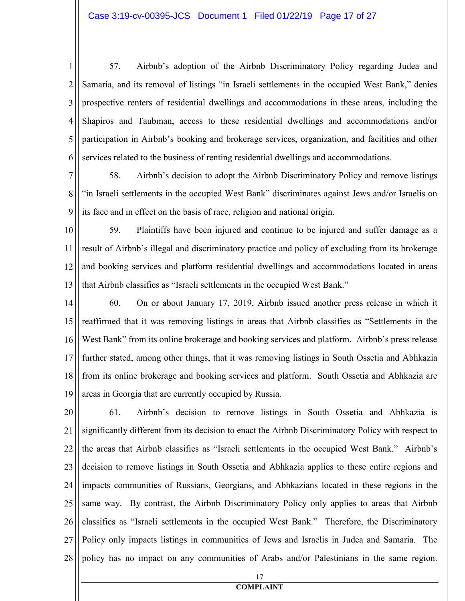1 2 3 4 5 6 57. Airbnb's adoption of the Airbnb Discriminatory Policy regarding Judea and Samaria, and its removal of listings "in Israeli settlements in the occupied West Bank," denies prospective renters of residential dwellings and accommodations in these areas, including the Shapiros and Taubman, access to these residential dwellings and accommodations and/or participation in Airbnb's booking and brokerage services, organization, and facilities and other services related to the business of renting residential dwellings and accommodations.

7

8

9

58. Airbnb's decision to adopt the Airbnb Discriminatory Policy and remove listings "in Israeli settlements in the occupied West Bank" discriminates against Jews and/or Israelis on its face and in effect on the basis of race, religion and national origin.

10 11 12 13 59. Plaintiffs have been injured and continue to be injured and suffer damage as a result of Airbnb's illegal and discriminatory practice and policy of excluding from its brokerage and booking services and platform residential dwellings and accommodations located in areas that Airbnb classifies as "Israeli settlements in the occupied West Bank."

14 15 16 17 18 19 60. On or about January 17, 2019, Airbnb issued another press release in which it reaffirmed that it was removing listings in areas that Airbnb classifies as "Settlements in the West Bank" from its online brokerage and booking services and platform. Airbnb's press release further stated, among other things, that it was removing listings in South Ossetia and Abhkazia from its online brokerage and booking services and platform. South Ossetia and Abhkazia are areas in Georgia that are currently occupied by Russia.

20 21 22 23 24 25 26 27 28 61. Airbnb's decision to remove listings in South Ossetia and Abhkazia is significantly different from its decision to enact the Airbnb Discriminatory Policy with respect to the areas that Airbnb classifies as "Israeli settlements in the occupied West Bank." Airbnb's decision to remove listings in South Ossetia and Abhkazia applies to these entire regions and impacts communities of Russians, Georgians, and Abhkazians located in these regions in the same way. By contrast, the Airbnb Discriminatory Policy only applies to areas that Airbnb classifies as "Israeli settlements in the occupied West Bank." Therefore, the Discriminatory Policy only impacts listings in communities of Jews and Israelis in Judea and Samaria. The policy has no impact on any communities of Arabs and/or Palestinians in the same region.

> 17 **COMPLAIT**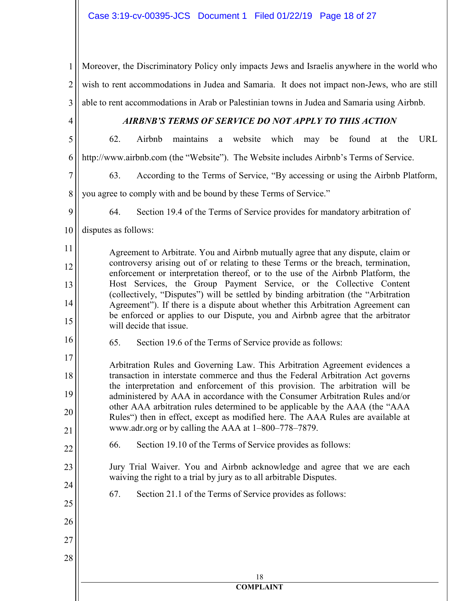1 2 3 Moreover, the Discriminatory Policy only impacts Jews and Israelis anywhere in the world who wish to rent accommodations in Judea and Samaria. It does not impact non-Jews, who are still able to rent accommodations in Arab or Palestinian towns in Judea and Samaria using Airbnb.

4

# AIRBNB'S TERMS OF SERVICE DO NOT APPLY TO THIS ACTION

5 6 62. Airbnb maintains a website which may be found at the URL http://www.airbnb.com (the "Website"). The Website includes Airbnb's Terms of Service.

63. According to the Terms of Service, "By accessing or using the Airbnb Platform,

8 you agree to comply with and be bound by these Terms of Service."

9

11

12

13

14

15

16

22

23

24

25

26

27

28

7

64. Section 19.4 of the Terms of Service provides for mandatory arbitration of

10 disputes as follows:

> Agreement to Arbitrate. You and Airbnb mutually agree that any dispute, claim or controversy arising out of or relating to these Terms or the breach, termination, enforcement or interpretation thereof, or to the use of the Airbnb Platform, the Host Services, the Group Payment Service, or the Collective Content (collectively, "Disputes") will be settled by binding arbitration (the "Arbitration Agreement"). If there is a dispute about whether this Arbitration Agreement can be enforced or applies to our Dispute, you and Airbnb agree that the arbitrator will decide that issue.

65. Section 19.6 of the Terms of Service provide as follows:

17 18 19 20 21 Arbitration Rules and Governing Law. This Arbitration Agreement evidences a transaction in interstate commerce and thus the Federal Arbitration Act governs the interpretation and enforcement of this provision. The arbitration will be administered by AAA in accordance with the Consumer Arbitration Rules and/or other AAA arbitration rules determined to be applicable by the AAA (the "AAA Rules") then in effect, except as modified here. The AAA Rules are available at www.adr.org or by calling the AAA at 1–800–778–7879.

66. Section 19.10 of the Terms of Service provides as follows:

Jury Trial Waiver. You and Airbnb acknowledge and agree that we are each waiving the right to a trial by jury as to all arbitrable Disputes.

67. Section 21.1 of the Terms of Service provides as follows: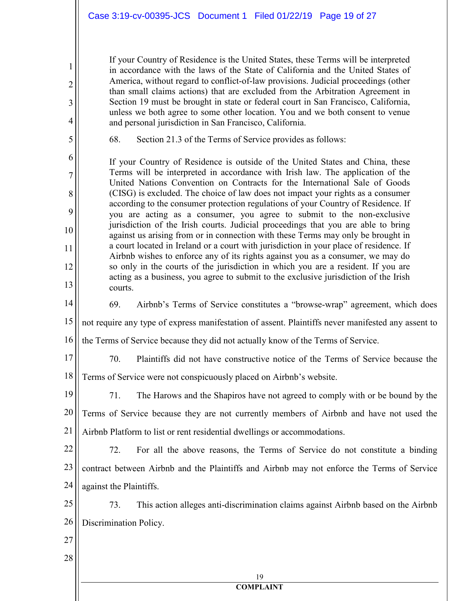If your Country of Residence is the United States, these Terms will be interpreted in accordance with the laws of the State of California and the United States of America, without regard to conflict-of-law provisions. Judicial proceedings (other than small claims actions) that are excluded from the Arbitration Agreement in Section 19 must be brought in state or federal court in San Francisco, California, unless we both agree to some other location. You and we both consent to venue and personal jurisdiction in San Francisco, California.

1

2

3

4

5

6

7

8

9

10

11

12

13

14

68. Section 21.3 of the Terms of Service provides as follows:

If your Country of Residence is outside of the United States and China, these Terms will be interpreted in accordance with Irish law. The application of the United Nations Convention on Contracts for the International Sale of Goods (CISG) is excluded. The choice of law does not impact your rights as a consumer according to the consumer protection regulations of your Country of Residence. If you are acting as a consumer, you agree to submit to the non-exclusive jurisdiction of the Irish courts. Judicial proceedings that you are able to bring against us arising from or in connection with these Terms may only be brought in a court located in Ireland or a court with jurisdiction in your place of residence. If Airbnb wishes to enforce any of its rights against you as a consumer, we may do so only in the courts of the jurisdiction in which you are a resident. If you are acting as a business, you agree to submit to the exclusive jurisdiction of the Irish courts.

69. Airbnb's Terms of Service constitutes a "browse-wrap" agreement, which does

15 not require any type of express manifestation of assent. Plaintiffs never manifested any assent to

- 16 the Terms of Service because they did not actually know of the Terms of Service.
- 17

70. Plaintiffs did not have constructive notice of the Terms of Service because the

18 Terms of Service were not conspicuously placed on Airbnb's website.

19 20 21 71. The Harows and the Shapiros have not agreed to comply with or be bound by the Terms of Service because they are not currently members of Airbnb and have not used the Airbnb Platform to list or rent residential dwellings or accommodations.

22 23 24 72. For all the above reasons, the Terms of Service do not constitute a binding contract between Airbnb and the Plaintiffs and Airbnb may not enforce the Terms of Service against the Plaintiffs.

25 26 73. This action alleges anti-discrimination claims against Airbnb based on the Airbnb Discrimination Policy.

> 19 **COMPLAIT**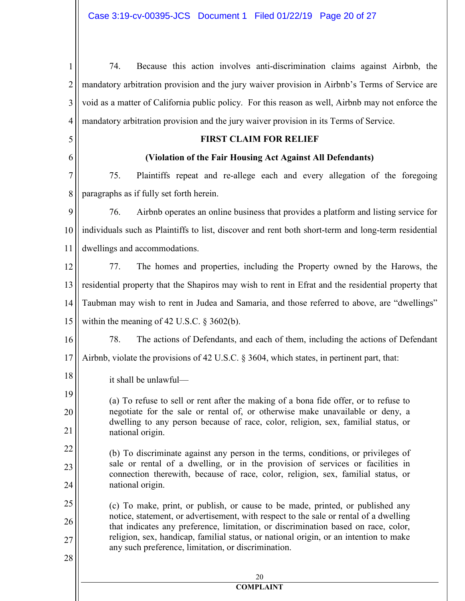| $\mathbf{1}$   | Because this action involves anti-discrimination claims against Airbnb, the<br>74.                                                                                                                                                                      |  |  |  |
|----------------|---------------------------------------------------------------------------------------------------------------------------------------------------------------------------------------------------------------------------------------------------------|--|--|--|
| $\overline{2}$ | mandatory arbitration provision and the jury waiver provision in Airbnb's Terms of Service are                                                                                                                                                          |  |  |  |
| 3              | void as a matter of California public policy. For this reason as well, Airbnb may not enforce the                                                                                                                                                       |  |  |  |
| 4              | mandatory arbitration provision and the jury waiver provision in its Terms of Service.                                                                                                                                                                  |  |  |  |
| 5              | <b>FIRST CLAIM FOR RELIEF</b>                                                                                                                                                                                                                           |  |  |  |
| 6              | (Violation of the Fair Housing Act Against All Defendants)                                                                                                                                                                                              |  |  |  |
| 7              | 75.<br>Plaintiffs repeat and re-allege each and every allegation of the foregoing                                                                                                                                                                       |  |  |  |
| 8              | paragraphs as if fully set forth herein.                                                                                                                                                                                                                |  |  |  |
| 9              | Airbnb operates an online business that provides a platform and listing service for<br>76.                                                                                                                                                              |  |  |  |
| 10             | individuals such as Plaintiffs to list, discover and rent both short-term and long-term residential                                                                                                                                                     |  |  |  |
| 11             | dwellings and accommodations.                                                                                                                                                                                                                           |  |  |  |
| 12             | 77.<br>The homes and properties, including the Property owned by the Harows, the                                                                                                                                                                        |  |  |  |
| 13             | residential property that the Shapiros may wish to rent in Efrat and the residential property that                                                                                                                                                      |  |  |  |
| 14             | Taubman may wish to rent in Judea and Samaria, and those referred to above, are "dwellings"                                                                                                                                                             |  |  |  |
| 15             | within the meaning of 42 U.S.C. $\S$ 3602(b).                                                                                                                                                                                                           |  |  |  |
| 16             | 78.<br>The actions of Defendants, and each of them, including the actions of Defendant                                                                                                                                                                  |  |  |  |
| 17             | Airbnb, violate the provisions of 42 U.S.C. § 3604, which states, in pertinent part, that:                                                                                                                                                              |  |  |  |
| 18             | it shall be unlawful-                                                                                                                                                                                                                                   |  |  |  |
| 19             | (a) To refuse to sell or rent after the making of a bona fide offer, or to refuse to                                                                                                                                                                    |  |  |  |
| 20             | negotiate for the sale or rental of, or otherwise make unavailable or deny, a<br>dwelling to any person because of race, color, religion, sex, familial status, or                                                                                      |  |  |  |
| 21             | national origin.                                                                                                                                                                                                                                        |  |  |  |
| 22             | (b) To discriminate against any person in the terms, conditions, or privileges of<br>sale or rental of a dwelling, or in the provision of services or facilities in<br>connection therewith, because of race, color, religion, sex, familial status, or |  |  |  |
| 23             |                                                                                                                                                                                                                                                         |  |  |  |
| 24             | national origin.                                                                                                                                                                                                                                        |  |  |  |
| 25             | (c) To make, print, or publish, or cause to be made, printed, or published any<br>notice, statement, or advertisement, with respect to the sale or rental of a dwelling                                                                                 |  |  |  |
| 26             | that indicates any preference, limitation, or discrimination based on race, color,                                                                                                                                                                      |  |  |  |
| 27             | religion, sex, handicap, familial status, or national origin, or an intention to make<br>any such preference, limitation, or discrimination.                                                                                                            |  |  |  |
| 28             |                                                                                                                                                                                                                                                         |  |  |  |
|                | 20<br><b>COMPLAINT</b>                                                                                                                                                                                                                                  |  |  |  |
|                |                                                                                                                                                                                                                                                         |  |  |  |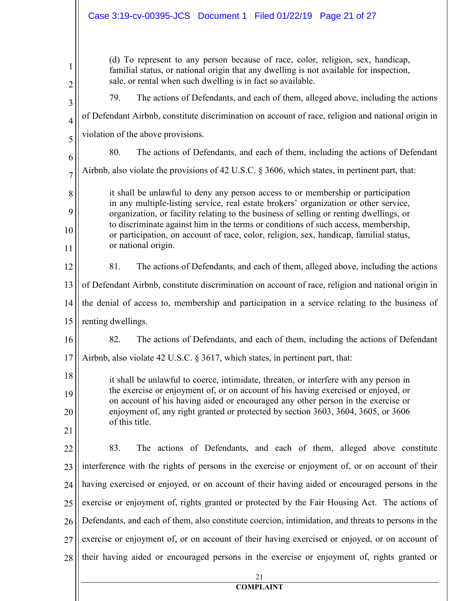|                      | Case 3:19-cv-00395-JCS Document 1 Filed 01/22/19 Page 21 of 27                                                                                                                                                                                                                                                                                                                                                                                                            |  |  |  |
|----------------------|---------------------------------------------------------------------------------------------------------------------------------------------------------------------------------------------------------------------------------------------------------------------------------------------------------------------------------------------------------------------------------------------------------------------------------------------------------------------------|--|--|--|
| 1<br>$\overline{c}$  | (d) To represent to any person because of race, color, religion, sex, handicap,<br>familial status, or national origin that any dwelling is not available for inspection,<br>sale, or rental when such dwelling is in fact so available.                                                                                                                                                                                                                                  |  |  |  |
| 3                    | The actions of Defendants, and each of them, alleged above, including the actions<br>79.                                                                                                                                                                                                                                                                                                                                                                                  |  |  |  |
| $\overline{4}$       | of Defendant Airbnb, constitute discrimination on account of race, religion and national origin in                                                                                                                                                                                                                                                                                                                                                                        |  |  |  |
| 5                    | violation of the above provisions.                                                                                                                                                                                                                                                                                                                                                                                                                                        |  |  |  |
| 6                    | 80.<br>The actions of Defendants, and each of them, including the actions of Defendant                                                                                                                                                                                                                                                                                                                                                                                    |  |  |  |
| $\overline{7}$       | Airbnb, also violate the provisions of 42 U.S.C. § 3606, which states, in pertinent part, that:                                                                                                                                                                                                                                                                                                                                                                           |  |  |  |
| 8<br>9<br>10<br>11   | it shall be unlawful to deny any person access to or membership or participation<br>in any multiple-listing service, real estate brokers' organization or other service,<br>organization, or facility relating to the business of selling or renting dwellings, or<br>to discriminate against him in the terms or conditions of such access, membership,<br>or participation, on account of race, color, religion, sex, handicap, familial status,<br>or national origin. |  |  |  |
| 12                   | 81.<br>The actions of Defendants, and each of them, alleged above, including the actions                                                                                                                                                                                                                                                                                                                                                                                  |  |  |  |
| 13                   | of Defendant Airbnb, constitute discrimination on account of race, religion and national origin in                                                                                                                                                                                                                                                                                                                                                                        |  |  |  |
| 14                   | the denial of access to, membership and participation in a service relating to the business of                                                                                                                                                                                                                                                                                                                                                                            |  |  |  |
| 15                   | renting dwellings.                                                                                                                                                                                                                                                                                                                                                                                                                                                        |  |  |  |
| 16                   | The actions of Defendants, and each of them, including the actions of Defendant<br>82                                                                                                                                                                                                                                                                                                                                                                                     |  |  |  |
| 17                   | Airbnb, also violate 42 U.S.C. § 3617, which states, in pertinent part, that:                                                                                                                                                                                                                                                                                                                                                                                             |  |  |  |
| 18<br>19<br>20<br>21 | it shall be unlawful to coerce, intimidate, threaten, or interfere with any person in<br>the exercise or enjoyment of, or on account of his having exercised or enjoyed, or<br>on account of his having aided or encouraged any other person in the exercise or<br>enjoyment of, any right granted or protected by section 3603, 3604, 3605, or 3606<br>of this title.                                                                                                    |  |  |  |
| 22                   | 83.<br>The actions of Defendants, and each of them, alleged above constitute                                                                                                                                                                                                                                                                                                                                                                                              |  |  |  |
| 23                   | interference with the rights of persons in the exercise or enjoyment of, or on account of their                                                                                                                                                                                                                                                                                                                                                                           |  |  |  |
| 24                   | having exercised or enjoyed, or on account of their having aided or encouraged persons in the                                                                                                                                                                                                                                                                                                                                                                             |  |  |  |
| 25                   | exercise or enjoyment of, rights granted or protected by the Fair Housing Act. The actions of                                                                                                                                                                                                                                                                                                                                                                             |  |  |  |
| 26                   | Defendants, and each of them, also constitute coercion, intimidation, and threats to persons in the                                                                                                                                                                                                                                                                                                                                                                       |  |  |  |
| 27                   | exercise or enjoyment of, or on account of their having exercised or enjoyed, or on account of                                                                                                                                                                                                                                                                                                                                                                            |  |  |  |
| 28                   | their having aided or encouraged persons in the exercise or enjoyment of, rights granted or                                                                                                                                                                                                                                                                                                                                                                               |  |  |  |
|                      | 21<br><b>COMPLAINT</b>                                                                                                                                                                                                                                                                                                                                                                                                                                                    |  |  |  |
|                      |                                                                                                                                                                                                                                                                                                                                                                                                                                                                           |  |  |  |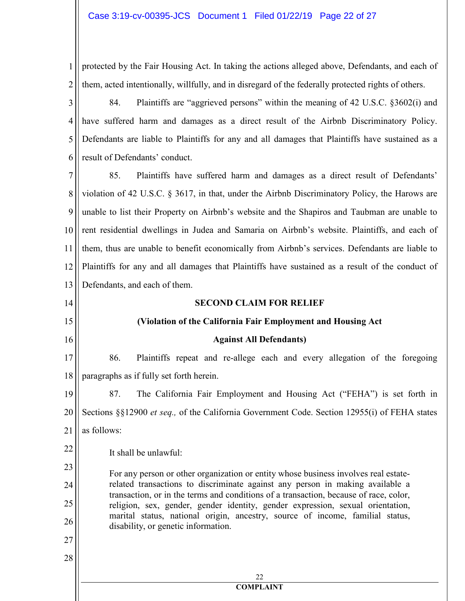1 2 protected by the Fair Housing Act. In taking the actions alleged above, Defendants, and each of them, acted intentionally, willfully, and in disregard of the federally protected rights of others.

3 4 5 6 84. Plaintiffs are "aggrieved persons" within the meaning of 42 U.S.C. §3602(i) and have suffered harm and damages as a direct result of the Airbnb Discriminatory Policy. Defendants are liable to Plaintiffs for any and all damages that Plaintiffs have sustained as a result of Defendants' conduct.

7 8 9 10 11 12 13 85. Plaintiffs have suffered harm and damages as a direct result of Defendants' violation of 42 U.S.C. § 3617, in that, under the Airbnb Discriminatory Policy, the Harows are unable to list their Property on Airbnb's website and the Shapiros and Taubman are unable to rent residential dwellings in Judea and Samaria on Airbnb's website. Plaintiffs, and each of them, thus are unable to benefit economically from Airbnb's services. Defendants are liable to Plaintiffs for any and all damages that Plaintiffs have sustained as a result of the conduct of Defendants, and each of them.

#### 22 **COMPLAIT**  14 15 16 17 18 19 20 21 22 23 24 25 26 27 28 **SECOND CLAIM FOR RELIEF (Violation of the California Fair Employment and Housing Act Against All Defendants)**  86. Plaintiffs repeat and re-allege each and every allegation of the foregoing paragraphs as if fully set forth herein. 87. The California Fair Employment and Housing Act ("FEHA") is set forth in Sections §§12900 *et seq.,* of the California Government Code. Section 12955(i) of FEHA states as follows: It shall be unlawful: For any person or other organization or entity whose business involves real estaterelated transactions to discriminate against any person in making available a transaction, or in the terms and conditions of a transaction, because of race, color, religion, sex, gender, gender identity, gender expression, sexual orientation, marital status, national origin, ancestry, source of income, familial status, disability, or genetic information.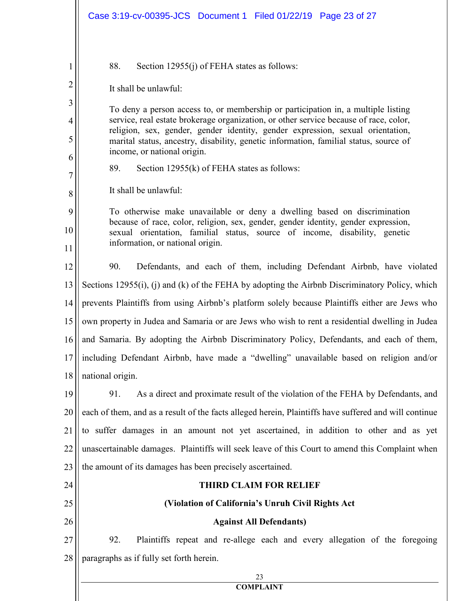|                                      | Case 3:19-cv-00395-JCS Document 1 Filed 01/22/19 Page 23 of 27                                                                                                                                                                                                                                                                                                                                                                                                                                                                                         |  |
|--------------------------------------|--------------------------------------------------------------------------------------------------------------------------------------------------------------------------------------------------------------------------------------------------------------------------------------------------------------------------------------------------------------------------------------------------------------------------------------------------------------------------------------------------------------------------------------------------------|--|
| 1<br>2<br>3<br>4<br>5<br>6<br>7<br>8 | 88.<br>Section $12955(i)$ of FEHA states as follows:<br>It shall be unlawful:<br>To deny a person access to, or membership or participation in, a multiple listing<br>service, real estate brokerage organization, or other service because of race, color,<br>religion, sex, gender, gender identity, gender expression, sexual orientation,<br>marital status, ancestry, disability, genetic information, familial status, source of<br>income, or national origin.<br>89.<br>Section $12955(k)$ of FEHA states as follows:<br>It shall be unlawful: |  |
| 9<br>10<br>11                        | To otherwise make unavailable or deny a dwelling based on discrimination<br>because of race, color, religion, sex, gender, gender identity, gender expression,<br>sexual orientation, familial status, source of income, disability, genetic<br>information, or national origin.                                                                                                                                                                                                                                                                       |  |
| 12                                   | 90.<br>Defendants, and each of them, including Defendant Airbnb, have violated                                                                                                                                                                                                                                                                                                                                                                                                                                                                         |  |
| 13                                   | Sections 12955(i), (j) and (k) of the FEHA by adopting the Airbnb Discriminatory Policy, which                                                                                                                                                                                                                                                                                                                                                                                                                                                         |  |
| 14                                   | prevents Plaintiffs from using Airbnb's platform solely because Plaintiffs either are Jews who                                                                                                                                                                                                                                                                                                                                                                                                                                                         |  |
| 15                                   | own property in Judea and Samaria or are Jews who wish to rent a residential dwelling in Judea                                                                                                                                                                                                                                                                                                                                                                                                                                                         |  |
|                                      | 16    and Samaria. By adopting the Airbnb Discriminatory Policy, Defendants, and each of them,                                                                                                                                                                                                                                                                                                                                                                                                                                                         |  |
| 17                                   | including Defendant Airbnb, have made a "dwelling" unavailable based on religion and/or                                                                                                                                                                                                                                                                                                                                                                                                                                                                |  |
| 18                                   | national origin.                                                                                                                                                                                                                                                                                                                                                                                                                                                                                                                                       |  |
| 19                                   | As a direct and proximate result of the violation of the FEHA by Defendants, and<br>91.                                                                                                                                                                                                                                                                                                                                                                                                                                                                |  |
| 20                                   | each of them, and as a result of the facts alleged herein, Plaintiffs have suffered and will continue                                                                                                                                                                                                                                                                                                                                                                                                                                                  |  |
| 21                                   | to suffer damages in an amount not yet ascertained, in addition to other and as yet                                                                                                                                                                                                                                                                                                                                                                                                                                                                    |  |
| 22                                   | unascertainable damages. Plaintiffs will seek leave of this Court to amend this Complaint when                                                                                                                                                                                                                                                                                                                                                                                                                                                         |  |
| 23                                   | the amount of its damages has been precisely ascertained.                                                                                                                                                                                                                                                                                                                                                                                                                                                                                              |  |
| 24                                   | <b>THIRD CLAIM FOR RELIEF</b>                                                                                                                                                                                                                                                                                                                                                                                                                                                                                                                          |  |
| 25                                   | (Violation of California's Unruh Civil Rights Act                                                                                                                                                                                                                                                                                                                                                                                                                                                                                                      |  |
| 26                                   | <b>Against All Defendants)</b>                                                                                                                                                                                                                                                                                                                                                                                                                                                                                                                         |  |
| 27                                   | 92.<br>Plaintiffs repeat and re-allege each and every allegation of the foregoing                                                                                                                                                                                                                                                                                                                                                                                                                                                                      |  |
| 28                                   | paragraphs as if fully set forth herein.                                                                                                                                                                                                                                                                                                                                                                                                                                                                                                               |  |
|                                      | 23                                                                                                                                                                                                                                                                                                                                                                                                                                                                                                                                                     |  |
|                                      | <b>COMPLAINT</b>                                                                                                                                                                                                                                                                                                                                                                                                                                                                                                                                       |  |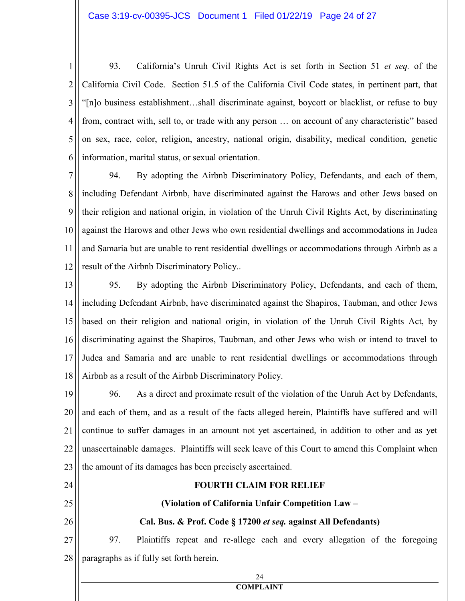1 2 3 4 5 6 93. California's Unruh Civil Rights Act is set forth in Section 51 *et seq.* of the California Civil Code. Section 51.5 of the California Civil Code states, in pertinent part, that "[n]o business establishment…shall discriminate against, boycott or blacklist, or refuse to buy from, contract with, sell to, or trade with any person … on account of any characteristic" based on sex, race, color, religion, ancestry, national origin, disability, medical condition, genetic information, marital status, or sexual orientation.

7 8 9 10 11 12 94. By adopting the Airbnb Discriminatory Policy, Defendants, and each of them, including Defendant Airbnb, have discriminated against the Harows and other Jews based on their religion and national origin, in violation of the Unruh Civil Rights Act, by discriminating against the Harows and other Jews who own residential dwellings and accommodations in Judea and Samaria but are unable to rent residential dwellings or accommodations through Airbnb as a result of the Airbnb Discriminatory Policy..

13 14 15 16 17 18 95. By adopting the Airbnb Discriminatory Policy, Defendants, and each of them, including Defendant Airbnb, have discriminated against the Shapiros, Taubman, and other Jews based on their religion and national origin, in violation of the Unruh Civil Rights Act, by discriminating against the Shapiros, Taubman, and other Jews who wish or intend to travel to Judea and Samaria and are unable to rent residential dwellings or accommodations through Airbnb as a result of the Airbnb Discriminatory Policy.

19 20 21 22 23 96. As a direct and proximate result of the violation of the Unruh Act by Defendants, and each of them, and as a result of the facts alleged herein, Plaintiffs have suffered and will continue to suffer damages in an amount not yet ascertained, in addition to other and as yet unascertainable damages. Plaintiffs will seek leave of this Court to amend this Complaint when the amount of its damages has been precisely ascertained.

24 25 26 27 28 **FOURTH CLAIM FOR RELIEF (Violation of California Unfair Competition Law – Cal. Bus. & Prof. Code § 17200** *et seq.* **against All Defendants)**  97. Plaintiffs repeat and re-allege each and every allegation of the foregoing paragraphs as if fully set forth herein.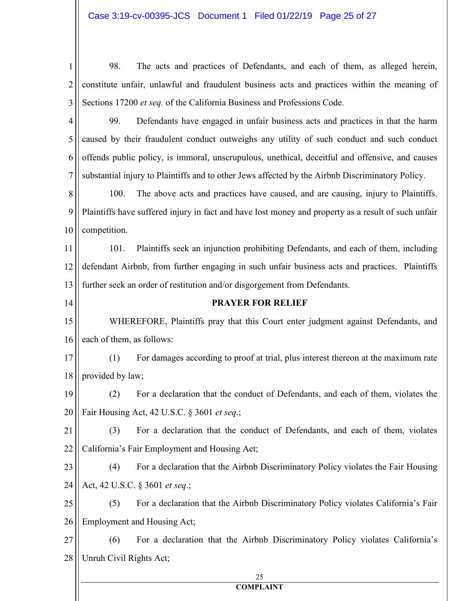| 1              | The acts and practices of Defendants, and each of them, as alleged herein,<br>98.                   |  |  |
|----------------|-----------------------------------------------------------------------------------------------------|--|--|
| $\overline{2}$ | constitute unfair, unlawful and fraudulent business acts and practices within the meaning of        |  |  |
| 3              | Sections 17200 et seq. of the California Business and Professions Code.                             |  |  |
| $\overline{4}$ | Defendants have engaged in unfair business acts and practices in that the harm<br>99.               |  |  |
| 5              | caused by their fraudulent conduct outweighs any utility of such conduct and such conduct           |  |  |
| 6              | offends public policy, is immoral, unscrupulous, unethical, deceitful and offensive, and causes     |  |  |
| 7              | substantial injury to Plaintiffs and to other Jews affected by the Airbnb Discriminatory Policy.    |  |  |
| 8              | 100.<br>The above acts and practices have caused, and are causing, injury to Plaintiffs.            |  |  |
| 9              | Plaintiffs have suffered injury in fact and have lost money and property as a result of such unfair |  |  |
| 10             | competition.                                                                                        |  |  |
| 11             | Plaintiffs seek an injunction prohibiting Defendants, and each of them, including<br>101.           |  |  |
| 12             | defendant Airbnb, from further engaging in such unfair business acts and practices. Plaintiffs      |  |  |
| 13             | further seek an order of restitution and/or disgorgement from Defendants.                           |  |  |
| 14             | <b>PRAYER FOR RELIEF</b>                                                                            |  |  |
| 15             | WHEREFORE, Plaintiffs pray that this Court enter judgment against Defendants, and                   |  |  |
| 16             | each of them, as follows:                                                                           |  |  |
| 17             | (1)<br>For damages according to proof at trial, plus interest thereon at the maximum rate           |  |  |
| 18             | provided by law;                                                                                    |  |  |
| 19             | For a declaration that the conduct of Defendants, and each of them, violates the<br>(2)             |  |  |
| 20             | Fair Housing Act, 42 U.S.C. § 3601 et seq.;                                                         |  |  |
| 21             | For a declaration that the conduct of Defendants, and each of them, violates<br>(3)                 |  |  |
| 22             | California's Fair Employment and Housing Act;                                                       |  |  |
| 23             | For a declaration that the Airbnb Discriminatory Policy violates the Fair Housing<br>(4)            |  |  |
| 24             | Act, 42 U.S.C. § 3601 et seq.;                                                                      |  |  |
| 25             | For a declaration that the Airbnb Discriminatory Policy violates California's Fair<br>(5)           |  |  |
| 26             | Employment and Housing Act;                                                                         |  |  |
| 27             | For a declaration that the Airbnb Discriminatory Policy violates California's<br>(6)                |  |  |
| 28             | Unruh Civil Rights Act;                                                                             |  |  |
|                | 25                                                                                                  |  |  |
|                | <b>COMPLAINT</b>                                                                                    |  |  |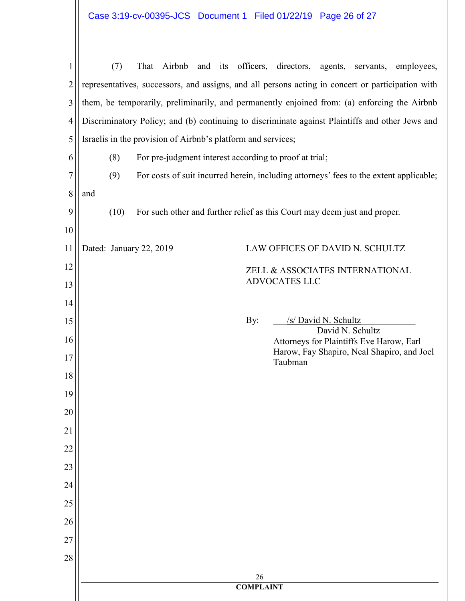| $\mathbf{1}$   | (7)                                                                                               | That Airbnb and its officers, directors, agents, servants, employees,                           |  |  |
|----------------|---------------------------------------------------------------------------------------------------|-------------------------------------------------------------------------------------------------|--|--|
| $\overline{2}$ | representatives, successors, and assigns, and all persons acting in concert or participation with |                                                                                                 |  |  |
| 3              |                                                                                                   | them, be temporarily, preliminarily, and permanently enjoined from: (a) enforcing the Airbnb    |  |  |
| $\overline{4}$ |                                                                                                   | Discriminatory Policy; and (b) continuing to discriminate against Plaintiffs and other Jews and |  |  |
| 5              | Israelis in the provision of Airbnb's platform and services;                                      |                                                                                                 |  |  |
| 6              | (8)<br>For pre-judgment interest according to proof at trial;                                     |                                                                                                 |  |  |
| 7              | (9)                                                                                               | For costs of suit incurred herein, including attorneys' fees to the extent applicable;          |  |  |
| 8              | and                                                                                               |                                                                                                 |  |  |
| 9              | (10)                                                                                              | For such other and further relief as this Court may deem just and proper.                       |  |  |
| 10             |                                                                                                   |                                                                                                 |  |  |
| 11             | Dated: January 22, 2019                                                                           | LAW OFFICES OF DAVID N. SCHULTZ                                                                 |  |  |
| 12             |                                                                                                   | ZELL & ASSOCIATES INTERNATIONAL<br><b>ADVOCATES LLC</b>                                         |  |  |
| 13             |                                                                                                   |                                                                                                 |  |  |
| 14             |                                                                                                   |                                                                                                 |  |  |
| 15             | By:                                                                                               | /s/ David N. Schultz<br>David N. Schultz                                                        |  |  |
| 16             |                                                                                                   | Attorneys for Plaintiffs Eve Harow, Earl<br>Harow, Fay Shapiro, Neal Shapiro, and Joel          |  |  |
| 17<br>18       |                                                                                                   | Taubman                                                                                         |  |  |
| 19             |                                                                                                   |                                                                                                 |  |  |
| 20             |                                                                                                   |                                                                                                 |  |  |
| 21             |                                                                                                   |                                                                                                 |  |  |
| 22             |                                                                                                   |                                                                                                 |  |  |
| 23             |                                                                                                   |                                                                                                 |  |  |
| 24             |                                                                                                   |                                                                                                 |  |  |
| 25             |                                                                                                   |                                                                                                 |  |  |
| 26             |                                                                                                   |                                                                                                 |  |  |
| 27             |                                                                                                   |                                                                                                 |  |  |
| 28             |                                                                                                   |                                                                                                 |  |  |
|                | $26\,$<br><b>COMPLAINT</b>                                                                        |                                                                                                 |  |  |
|                |                                                                                                   |                                                                                                 |  |  |